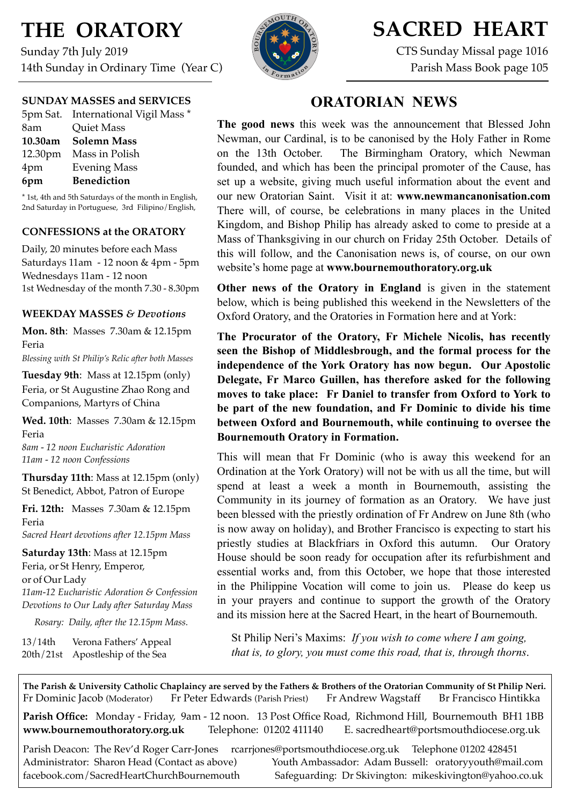# **THE ORATORY**

Sunday 7th July 2019 14th Sunday in Ordinary Time (Year C)

### **SUNDAY MASSES and SERVICES**

|     | 5pm Sat. International Vigil Mass * |
|-----|-------------------------------------|
| 8am | <b>Quiet Mass</b>                   |
|     | 10.30am Solemn Mass                 |
|     | 12.30pm Mass in Polish              |
| 4pm | <b>Evening Mass</b>                 |
| 6pm | <b>Benediction</b>                  |

\* 1st, 4th and 5th Saturdays of the month in English, 2nd Saturday in Portuguese, 3rd Filipino/English,

### **CONFESSIONS at the ORATORY**

Daily, 20 minutes before each Mass Saturdays 11am - 12 noon & 4pm - 5pm Wednesdays 11am - 12 noon 1st Wednesday of the month 7.30 - 8.30pm

### **WEEKDAY MASSES** *& Devotions*

**Mon. 8th**: Masses 7.30am & 12.15pm Feria

*Blessing with St Philip's Relic after both Masses*

**Tuesday 9th**: Mass at 12.15pm (only) Feria, or St Augustine Zhao Rong and Companions, Martyrs of China

**Wed. 10th**: Masses7.30am & 12.15pm Feria

*8am - 12 noon Eucharistic Adoration 11am - 12 noon Confessions*

**Thursday 11th**: Mass at 12.15pm (only) St Benedict, Abbot, Patron of Europe

**Fri. 12th:** Masses 7.30am & 12.15pm Feria *Sacred Heart devotions after 12.15pm Mass*

**Saturday 13th**: Mass at 12.15pm Feria, or St Henry, Emperor, or of Our Lady *11am-12 Eucharistic Adoration & Confession Devotions to Our Lady after Saturday Mass*

*Rosary: Daily, after the 12.15pm Mass.*

13/14th Verona Fathers' Appeal 20th/21st Apostleship of the Sea



## **SACRED HEART**

CTS Sunday Missal page 1016 Parish Mass Book page 105

### **ORATORIAN NEWS**

**The good news** this week was the announcement that Blessed John Newman, our Cardinal, is to be canonised by the Holy Father in Rome on the 13th October. The Birmingham Oratory, which Newman founded, and which has been the principal promoter of the Cause, has set up a website, giving much useful information about the event and our new Oratorian Saint. Visit it at: **[www.newmancanonisation.com](http://www.newmancanonisation.com/)** There will, of course, be celebrations in many places in the United Kingdom, and Bishop Philip has already asked to come to preside at a Mass of Thanksgiving in our church on Friday 25th October. Details of this will follow, and the Canonisation news is, of course, on our own website's home page at **www.bournemouthoratory.org.uk**

**Other news of the Oratory in England** is given in the statement below, which is being published this weekend in the Newsletters of the Oxford Oratory, and the Oratories in Formation here and at York:

**The Procurator of the Oratory, Fr Michele Nicolis, has recently seen the Bishop of Middlesbrough, and the formal process for the independence of the York Oratory has now begun. Our Apostolic Delegate, Fr Marco Guillen, has therefore asked for the following moves to take place: Fr Daniel to transfer from Oxford to York to be part of the new foundation, and Fr Dominic to divide his time between Oxford and Bournemouth, while continuing to oversee the Bournemouth Oratory in Formation.**

This will mean that Fr Dominic (who is away this weekend for an Ordination at the York Oratory) will not be with us all the time, but will spend at least a week a month in Bournemouth, assisting the Community in its journey of formation as an Oratory. We have just been blessed with the priestly ordination of Fr Andrew on June 8th (who is now away on holiday), and Brother Francisco is expecting to start his priestly studies at Blackfriars in Oxford this autumn. Our Oratory House should be soon ready for occupation after its refurbishment and essential works and, from this October, we hope that those interested in the Philippine Vocation will come to join us. Please do keep us in your prayers and continue to support the growth of the Oratory and its mission here at the Sacred Heart, in the heart of Bournemouth.

 St Philip Neri's Maxims: *If you wish to come where I am going, that is, to glory, you must come this road, that is, through thorns*.

**The Parish & University Catholic Chaplaincy are served by the Fathers & Brothers of the Oratorian Community of St Philip Neri.** Fr Dominic Jacob (Moderator) Fr Peter Edwards (Parish Priest) Fr Andrew Wagstaff Br Francisco Hintikka **Parish Office:** Monday - Friday, 9am - 12 noon. 13 Post Office Road, Richmond Hill, Bournemouth BH1 1BB **[www.bournemouthoratory.org.uk](http://www.bournemoithoratory.org.uk)** Telephone: 01202 411140 E. [sacredheart@portsmouthdiocese.org.uk](mailto:sacredheart@portsmouthdiocese.org.uk)

Parish Deacon: The Rev'd Roger Carr-Jones [rcarrjones@portsmouthdiocese.org.uk](mailto:rcarrjones@portsmouthdiocese.org.uk) Telephone 01202 428451 Administrator: Sharon Head (Contact as above) Youth Ambassador: Adam Bussell: [oratoryyouth@mail.com](http://oratoryyouth.mail.com) [facebook.com/SacredHeartChurchBournemouth](http://facebook.com/SaccredHeartChurchBournemouth) Safeguarding: Dr Skivington: mikeskivington@yahoo.co.uk